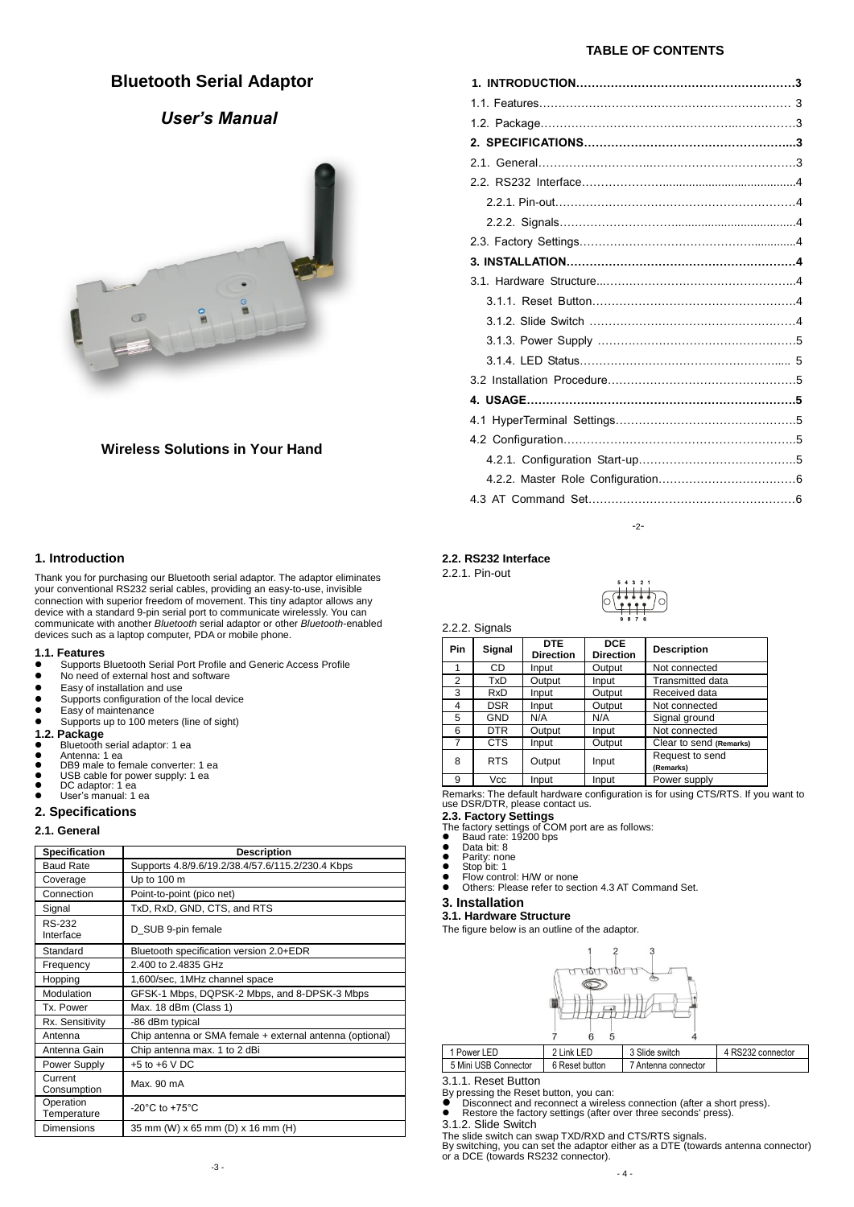## **Bluetooth Serial Adaptor**

# *User's Manual*



### **Wireless Solutions in Your Hand**

### **1. Introduction**

Thank you for purchasing our Bluetooth serial adaptor. The adaptor eliminates your conventional RS232 serial cables, providing an easy-to-use, invisible connection with superior freedom of movement. This tiny adaptor allows any device with a standard 9-pin serial port to communicate wirelessly. You can communicate with another *Bluetooth* serial adaptor or other *Bluetooth*-enabled devices such as a laptop computer, PDA or mobile phone.

#### **1.1. Features**

- **Supports Bluetooth Serial Port Profile and Generic Access Profile**<br>
No need of external bost and software
- No need of external host and software
- Easy of installation and use<br>• Supports configuration of the
- Supports configuration of the local device<br>• Easy of maintenance
- Easy of maintenance ● Supports up to 100 meters (line of sight)
- **1.2. Package**
- Bluetooth serial adaptor: 1 ea
- Antenna: 1 ea DB9 male to female converter: 1 ea
- 
- USB cable for power supply: 1 ea DC adaptor: 1 ea User's manual: 1 ea
- 

### **2. Specifications**

#### **2.1. General**

| <b>Specification</b>     | <b>Description</b>                                       |
|--------------------------|----------------------------------------------------------|
| <b>Baud Rate</b>         | Supports 4.8/9.6/19.2/38.4/57.6/115.2/230.4 Kbps         |
| Coverage                 | Up to 100 m                                              |
| Connection               | Point-to-point (pico net)                                |
| Signal                   | TxD, RxD, GND, CTS, and RTS                              |
| RS-232<br>Interface      | D SUB 9-pin female                                       |
| Standard                 | Bluetooth specification version 2.0+EDR                  |
| Frequency                | 2.400 to 2.4835 GHz                                      |
| Hopping                  | 1,600/sec, 1MHz channel space                            |
| Modulation               | GFSK-1 Mbps, DQPSK-2 Mbps, and 8-DPSK-3 Mbps             |
| Tx. Power                | Max. 18 dBm (Class 1)                                    |
| Rx. Sensitivity          | -86 dBm typical                                          |
| Antenna                  | Chip antenna or SMA female + external antenna (optional) |
| Antenna Gain             | Chip antenna max. 1 to 2 dBi                             |
| Power Supply             | $+5$ to $+6$ V DC                                        |
| Current<br>Consumption   | Max. 90 mA                                               |
| Operation<br>Temperature | -20 $^{\circ}$ C to +75 $^{\circ}$ C                     |
| Dimensions               | 35 mm (W) x 65 mm (D) x 16 mm (H)                        |

#### **TABLE OF CONTENTS**

-2-

**2.2. RS232 Interface** 

2.2.1. Pin-out

2.2.2. Signals

| 4 <sub>3</sub><br>2 <sub>1</sub><br>5 |  |
|---------------------------------------|--|
| <b>LT</b><br>Ξ<br>г<br>e.             |  |
|                                       |  |
| ß<br>9<br>8<br>7                      |  |

| Pin | Signal     | <b>DTE</b><br><b>Direction</b> | <b>DCE</b><br><b>Direction</b> | <b>Description</b>      |
|-----|------------|--------------------------------|--------------------------------|-------------------------|
| 1   | CD.        | Input                          | Output                         | Not connected           |
| 2   | TxD        | Output                         | Input                          | Transmitted data        |
| 3   | <b>RxD</b> | Input                          | Output                         | Received data           |
| 4   | <b>DSR</b> | Input                          | Output                         | Not connected           |
| 5   | <b>GND</b> | N/A                            | N/A                            | Signal ground           |
| 6   | <b>DTR</b> | Output                         | Input                          | Not connected           |
| 7   | CTS        | Input                          | Output                         | Clear to send (Remarks) |
| 8   | <b>RTS</b> | Output                         | Input                          | Request to send         |
|     |            |                                |                                | (Remarks)               |
| 9   | Vcc        | Input                          | Input                          | Power supply            |

Remarks: The default hardware configuration is for using CTS/RTS. If you want to use DSR/DTR, please contact us.

- **2.3. Factory Settings**<br>The factory settings of COM port are as follows:<br>● Baud rate: 19200 bps
- Baud rate:<br>■ Data bit: 8
- Parity: none
- Stop bit: 1
- Flow control: H/W or none<br>• Others: Please refer to sec
- Others: Please refer to section 4.3 AT Command Set.
- **3. Installation**
- **3.1. Hardware Structure**

The figure below is an outline of the adaptor.



| 1 Power LED          | 2 I ink I FD   | 3 Slide switch      | 4 RS232 connector |
|----------------------|----------------|---------------------|-------------------|
| 5 Mini USB Connector | 6 Reset button | 7 Antenna connector |                   |
| Rocat Rutton<br>211  |                |                     |                   |

3.1.1. Reset Button

By pressing the Reset button, you can:<br>● Disconnect and reconnect a wireless connection (after a short press).<br>● Restore the factory settings (after over three seconds' press).

3.1.2. Slide Switch

The slide switch can swap TXD/RXD and CTS/RTS signals. By switching, you can set the adaptor either as a DTE (towards antenna connector) or a DCE (towards RS232 connector).